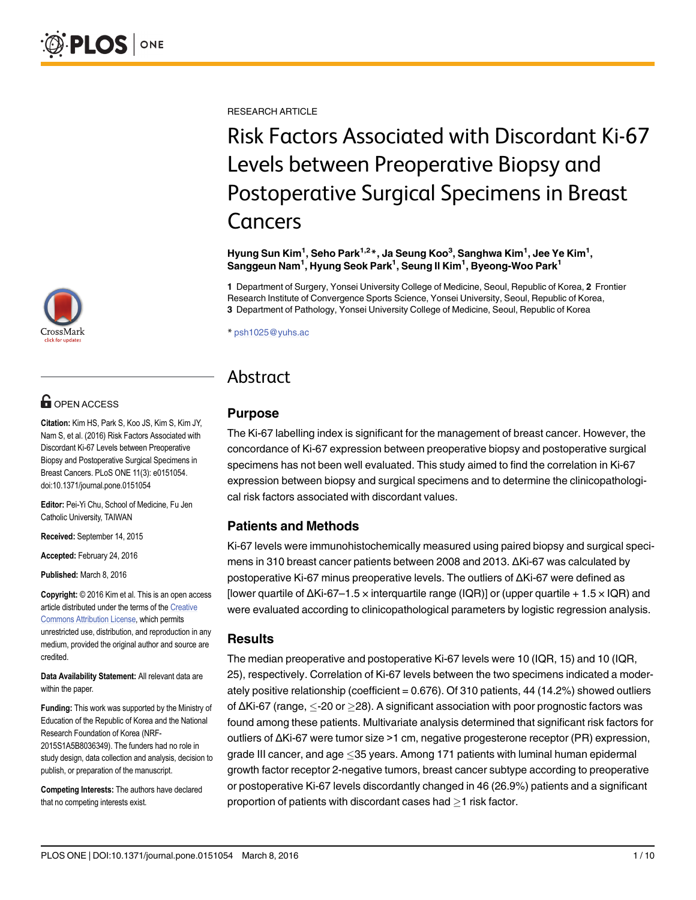

## **OPEN ACCESS**

Citation: Kim HS, Park S, Koo JS, Kim S, Kim JY, Nam S, et al. (2016) Risk Factors Associated with Discordant Ki-67 Levels between Preoperative Biopsy and Postoperative Surgical Specimens in Breast Cancers. PLoS ONE 11(3): e0151054. doi:10.1371/journal.pone.0151054

Editor: Pei-Yi Chu, School of Medicine, Fu Jen Catholic University, TAIWAN

Received: September 14, 2015

Accepted: February 24, 2016

Published: March 8, 2016

Copyright: © 2016 Kim et al. This is an open access article distributed under the terms of the [Creative](http://creativecommons.org/licenses/by/4.0/) [Commons Attribution License](http://creativecommons.org/licenses/by/4.0/), which permits unrestricted use, distribution, and reproduction in any medium, provided the original author and source are credited.

Data Availability Statement: All relevant data are within the paper.

Funding: This work was supported by the Ministry of Education of the Republic of Korea and the National Research Foundation of Korea (NRF-2015S1A5B8036349). The funders had no role in study design, data collection and analysis, decision to publish, or preparation of the manuscript.

Competing Interests: The authors have declared that no competing interests exist.

RESEARCH ARTICLE

# Risk Factors Associated with Discordant Ki-67 Levels between Preoperative Biopsy and Postoperative Surgical Specimens in Breast Cancers

Hyung Sun Kim $^1$ , Seho Park $^{1,2\, *}$ , Ja Seung Koo $^3$ , Sanghwa Kim $^1$ , Jee Ye Kim $^1$ , Sanggeun Nam<sup>1</sup>, Hyung Seok Park<sup>1</sup>, Seung II Kim<sup>1</sup>, Byeong-Woo Park<sup>1</sup>

1 Department of Surgery, Yonsei University College of Medicine, Seoul, Republic of Korea, 2 Frontier Research Institute of Convergence Sports Science, Yonsei University, Seoul, Republic of Korea, 3 Department of Pathology, Yonsei University College of Medicine, Seoul, Republic of Korea

\* psh1025@yuhs.ac

### Abstract

#### Purpose

The Ki-67 labelling index is significant for the management of breast cancer. However, the concordance of Ki-67 expression between preoperative biopsy and postoperative surgical specimens has not been well evaluated. This study aimed to find the correlation in Ki-67 expression between biopsy and surgical specimens and to determine the clinicopathological risk factors associated with discordant values.

#### Patients and Methods

Ki-67 levels were immunohistochemically measured using paired biopsy and surgical specimens in 310 breast cancer patients between 2008 and 2013. ΔKi-67 was calculated by postoperative Ki-67 minus preoperative levels. The outliers of ΔKi-67 were defined as [lower quartile of ΔKi-67–1.5 × interquartile range (IQR)] or (upper quartile + 1.5 × IQR) and were evaluated according to clinicopathological parameters by logistic regression analysis.

#### Results

The median preoperative and postoperative Ki-67 levels were 10 (IQR, 15) and 10 (IQR, 25), respectively. Correlation of Ki-67 levels between the two specimens indicated a moderately positive relationship (coefficient = 0.676). Of 310 patients, 44 (14.2%) showed outliers of ΔKi-67 (range,  $\leq$ -20 or  $\geq$ 28). A significant association with poor prognostic factors was found among these patients. Multivariate analysis determined that significant risk factors for outliers of ΔKi-67 were tumor size >1 cm, negative progesterone receptor (PR) expression, grade III cancer, and  $age \leq 35$  years. Among 171 patients with luminal human epidermal growth factor receptor 2-negative tumors, breast cancer subtype according to preoperative or postoperative Ki-67 levels discordantly changed in 46 (26.9%) patients and a significant proportion of patients with discordant cases had  $>1$  risk factor.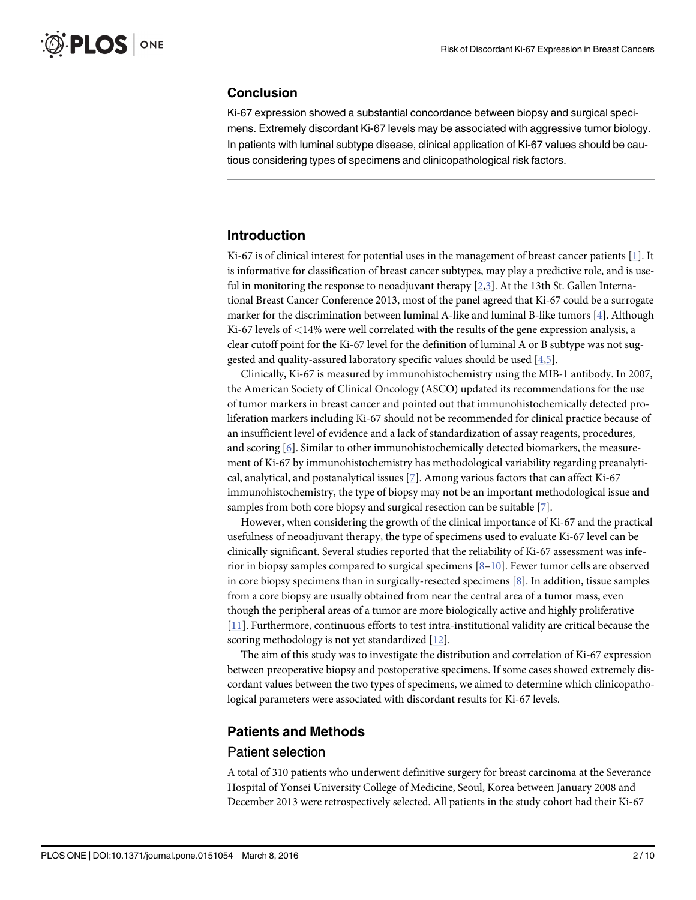#### <span id="page-1-0"></span>**Conclusion**

Ki-67 expression showed a substantial concordance between biopsy and surgical specimens. Extremely discordant Ki-67 levels may be associated with aggressive tumor biology. In patients with luminal subtype disease, clinical application of Ki-67 values should be cautious considering types of specimens and clinicopathological risk factors.

#### Introduction

Ki-67 is of clinical interest for potential uses in the management of breast cancer patients  $[1]$  $[1]$ . It is informative for classification of breast cancer subtypes, may play a predictive role, and is useful in monitoring the response to neoadjuvant therapy  $[2,3]$  $[2,3]$ . At the 13th St. Gallen International Breast Cancer Conference 2013, most of the panel agreed that Ki-67 could be a surrogate marker for the discrimination between luminal A-like and luminal B-like tumors [\[4](#page-8-0)]. Although Ki-67 levels of <14% were well correlated with the results of the gene expression analysis, a clear cutoff point for the Ki-67 level for the definition of luminal A or B subtype was not suggested and quality-assured laboratory specific values should be used [\[4,5](#page-8-0)].

Clinically, Ki-67 is measured by immunohistochemistry using the MIB-1 antibody. In 2007, the American Society of Clinical Oncology (ASCO) updated its recommendations for the use of tumor markers in breast cancer and pointed out that immunohistochemically detected proliferation markers including Ki-67 should not be recommended for clinical practice because of an insufficient level of evidence and a lack of standardization of assay reagents, procedures, and scoring  $[6]$  $[6]$ . Similar to other immunohistochemically detected biomarkers, the measurement of Ki-67 by immunohistochemistry has methodological variability regarding preanalytical, analytical, and postanalytical issues [[7](#page-8-0)]. Among various factors that can affect Ki-67 immunohistochemistry, the type of biopsy may not be an important methodological issue and samples from both core biopsy and surgical resection can be suitable  $[7]$  $[7]$ .

However, when considering the growth of the clinical importance of Ki-67 and the practical usefulness of neoadjuvant therapy, the type of specimens used to evaluate Ki-67 level can be clinically significant. Several studies reported that the reliability of Ki-67 assessment was inferior in biopsy samples compared to surgical specimens [[8](#page-8-0)–[10](#page-8-0)]. Fewer tumor cells are observed in core biopsy specimens than in surgically-resected specimens  $[8]$  $[8]$ . In addition, tissue samples from a core biopsy are usually obtained from near the central area of a tumor mass, even though the peripheral areas of a tumor are more biologically active and highly proliferative [\[11](#page-8-0)]. Furthermore, continuous efforts to test intra-institutional validity are critical because the scoring methodology is not yet standardized  $[12]$  $[12]$  $[12]$ .

The aim of this study was to investigate the distribution and correlation of Ki-67 expression between preoperative biopsy and postoperative specimens. If some cases showed extremely discordant values between the two types of specimens, we aimed to determine which clinicopathological parameters were associated with discordant results for Ki-67 levels.

#### Patients and Methods

#### Patient selection

A total of 310 patients who underwent definitive surgery for breast carcinoma at the Severance Hospital of Yonsei University College of Medicine, Seoul, Korea between January 2008 and December 2013 were retrospectively selected. All patients in the study cohort had their Ki-67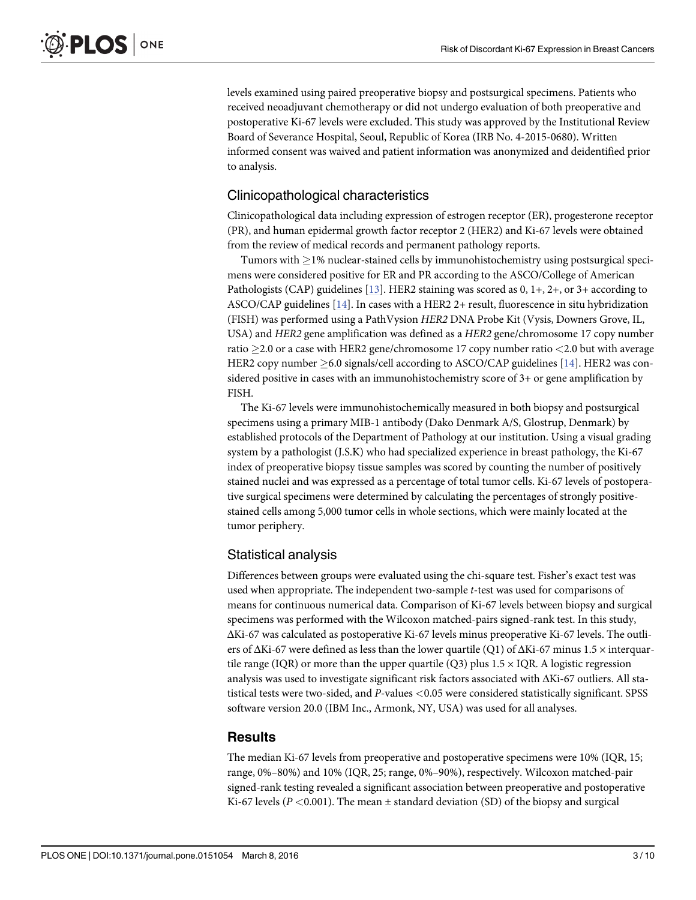<span id="page-2-0"></span>levels examined using paired preoperative biopsy and postsurgical specimens. Patients who received neoadjuvant chemotherapy or did not undergo evaluation of both preoperative and postoperative Ki-67 levels were excluded. This study was approved by the Institutional Review Board of Severance Hospital, Seoul, Republic of Korea (IRB No. 4-2015-0680). Written informed consent was waived and patient information was anonymized and deidentified prior to analysis.

#### Clinicopathological characteristics

Clinicopathological data including expression of estrogen receptor (ER), progesterone receptor (PR), and human epidermal growth factor receptor 2 (HER2) and Ki-67 levels were obtained from the review of medical records and permanent pathology reports.

Tumors with  $\geq$  1% nuclear-stained cells by immunohistochemistry using postsurgical specimens were considered positive for ER and PR according to the ASCO/College of American Pathologists (CAP) guidelines [[13](#page-8-0)]. HER2 staining was scored as  $0, 1+, 2+,$  or  $3+$  according to ASCO/CAP guidelines  $[14]$  $[14]$  $[14]$ . In cases with a HER2 2+ result, fluorescence in situ hybridization (FISH) was performed using a PathVysion HER2 DNA Probe Kit (Vysis, Downers Grove, IL, USA) and HER2 gene amplification was defined as a HER2 gene/chromosome 17 copy number ratio  $\geq$  2.0 or a case with HER2 gene/chromosome 17 copy number ratio <2.0 but with average HER2 copy number  $>6.0$  signals/cell according to ASCO/CAP guidelines [\[14\]](#page-9-0). HER2 was considered positive in cases with an immunohistochemistry score of 3+ or gene amplification by FISH.

The Ki-67 levels were immunohistochemically measured in both biopsy and postsurgical specimens using a primary MIB-1 antibody (Dako Denmark A/S, Glostrup, Denmark) by established protocols of the Department of Pathology at our institution. Using a visual grading system by a pathologist (J.S.K) who had specialized experience in breast pathology, the Ki-67 index of preoperative biopsy tissue samples was scored by counting the number of positively stained nuclei and was expressed as a percentage of total tumor cells. Ki-67 levels of postoperative surgical specimens were determined by calculating the percentages of strongly positivestained cells among 5,000 tumor cells in whole sections, which were mainly located at the tumor periphery.

#### Statistical analysis

Differences between groups were evaluated using the chi-square test. Fisher's exact test was used when appropriate. The independent two-sample t-test was used for comparisons of means for continuous numerical data. Comparison of Ki-67 levels between biopsy and surgical specimens was performed with the Wilcoxon matched-pairs signed-rank test. In this study, ΔKi-67 was calculated as postoperative Ki-67 levels minus preoperative Ki-67 levels. The outliers of  $\Delta$ Ki-67 were defined as less than the lower quartile (Q1) of  $\Delta$ Ki-67 minus 1.5  $\times$  interquartile range (IQR) or more than the upper quartile (Q3) plus  $1.5 \times$  IQR. A logistic regression analysis was used to investigate significant risk factors associated with ΔKi-67 outliers. All statistical tests were two-sided, and P-values <0.05 were considered statistically significant. SPSS software version 20.0 (IBM Inc., Armonk, NY, USA) was used for all analyses.

#### Results

The median Ki-67 levels from preoperative and postoperative specimens were 10% (IQR, 15; range, 0%–80%) and 10% (IQR, 25; range, 0%–90%), respectively. Wilcoxon matched-pair signed-rank testing revealed a significant association between preoperative and postoperative Ki-67 levels ( $P < 0.001$ ). The mean  $\pm$  standard deviation (SD) of the biopsy and surgical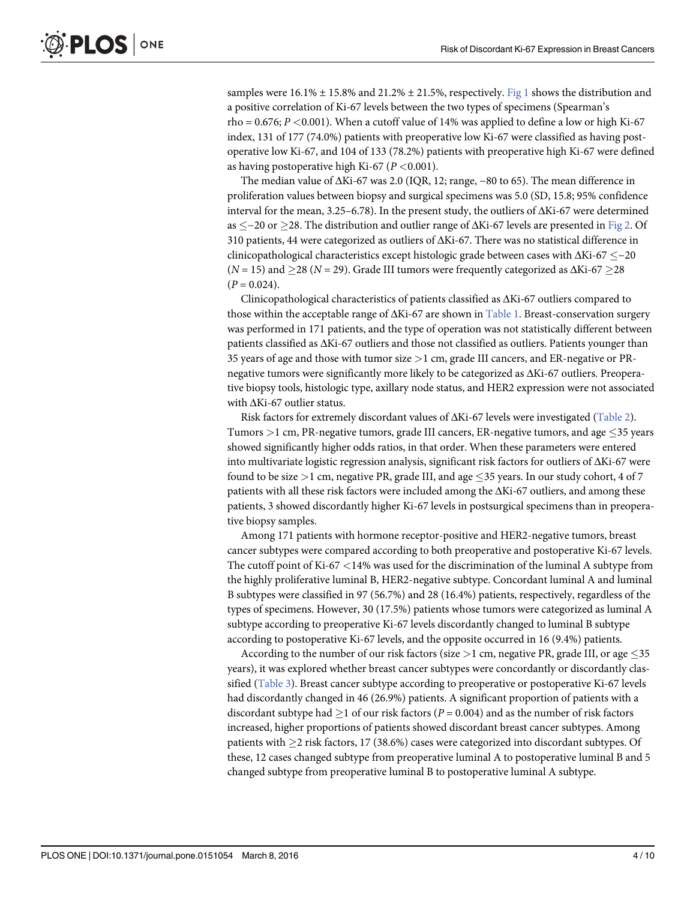<span id="page-3-0"></span>samples were 16.1%  $\pm$  15.8% and 21.2%  $\pm$  21.5%, respectively. [Fig 1](#page-4-0) shows the distribution and a positive correlation of Ki-67 levels between the two types of specimens (Spearman's rho = 0.676;  $P < 0.001$ ). When a cutoff value of 14% was applied to define a low or high Ki-67 index, 131 of 177 (74.0%) patients with preoperative low Ki-67 were classified as having postoperative low Ki-67, and 104 of 133 (78.2%) patients with preoperative high Ki-67 were defined as having postoperative high Ki-67 ( $P < 0.001$ ).

The median value of ΔKi-67 was 2.0 (IQR, 12; range, −80 to 65). The mean difference in proliferation values between biopsy and surgical specimens was 5.0 (SD, 15.8; 95% confidence interval for the mean, 3.25–6.78). In the present study, the outliers of ΔKi-67 were determined as  $\le$  -20 or  $\ge$ 28. The distribution and outlier range of  $\Delta$ Ki-67 levels are presented in [Fig 2](#page-5-0). Of 310 patients, 44 were categorized as outliers of ΔKi-67. There was no statistical difference in clinicopathological characteristics except histologic grade between cases with  $\Delta$ Ki-67  $\leq$ -20  $(N = 15)$  and  $> 28$   $(N = 29)$ . Grade III tumors were frequently categorized as  $\Delta$ Ki-67  $> 28$  $(P = 0.024)$ .

Clinicopathological characteristics of patients classified as ΔKi-67 outliers compared to those within the acceptable range of ΔKi-67 are shown in [Table 1.](#page-6-0) Breast-conservation surgery was performed in 171 patients, and the type of operation was not statistically different between patients classified as ΔKi-67 outliers and those not classified as outliers. Patients younger than 35 years of age and those with tumor size  $>1$  cm, grade III cancers, and ER-negative or PRnegative tumors were significantly more likely to be categorized as ΔKi-67 outliers. Preoperative biopsy tools, histologic type, axillary node status, and HER2 expression were not associated with ΔKi-67 outlier status.

Risk factors for extremely discordant values of ΔKi-67 levels were investigated [\(Table 2\)](#page-7-0). Tumors  $>1$  cm, PR-negative tumors, grade III cancers, ER-negative tumors, and age  $\leq$ 35 years showed significantly higher odds ratios, in that order. When these parameters were entered into multivariate logistic regression analysis, significant risk factors for outliers of ΔKi-67 were found to be size  $>1$  cm, negative PR, grade III, and age  $\leq$ 35 years. In our study cohort, 4 of 7 patients with all these risk factors were included among the ΔKi-67 outliers, and among these patients, 3 showed discordantly higher Ki-67 levels in postsurgical specimens than in preoperative biopsy samples.

Among 171 patients with hormone receptor-positive and HER2-negative tumors, breast cancer subtypes were compared according to both preoperative and postoperative Ki-67 levels. The cutoff point of Ki-67 <14% was used for the discrimination of the luminal A subtype from the highly proliferative luminal B, HER2-negative subtype. Concordant luminal A and luminal B subtypes were classified in 97 (56.7%) and 28 (16.4%) patients, respectively, regardless of the types of specimens. However, 30 (17.5%) patients whose tumors were categorized as luminal A subtype according to preoperative Ki-67 levels discordantly changed to luminal B subtype according to postoperative Ki-67 levels, and the opposite occurred in 16 (9.4%) patients.

According to the number of our risk factors (size  $>1$  cm, negative PR, grade III, or age  $\leq$ 35 years), it was explored whether breast cancer subtypes were concordantly or discordantly classified ([Table 3](#page-7-0)). Breast cancer subtype according to preoperative or postoperative Ki-67 levels had discordantly changed in 46 (26.9%) patients. A significant proportion of patients with a discordant subtype had  $\geq 1$  of our risk factors ( $P = 0.004$ ) and as the number of risk factors increased, higher proportions of patients showed discordant breast cancer subtypes. Among patients with  $\geq$  2 risk factors, 17 (38.6%) cases were categorized into discordant subtypes. Of these, 12 cases changed subtype from preoperative luminal A to postoperative luminal B and 5 changed subtype from preoperative luminal B to postoperative luminal A subtype.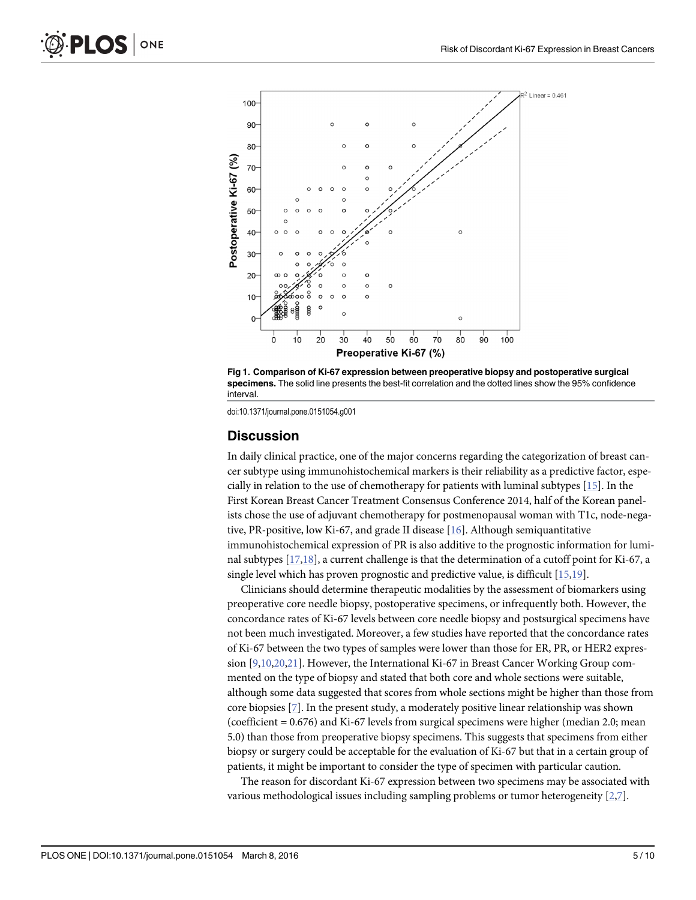<span id="page-4-0"></span>

[Fig 1. C](#page-3-0)omparison of Ki-67 expression between preoperative biopsy and postoperative surgical specimens. The solid line presents the best-fit correlation and the dotted lines show the 95% confidence interval.

doi:10.1371/journal.pone.0151054.g001

#### **Discussion**

In daily clinical practice, one of the major concerns regarding the categorization of breast cancer subtype using immunohistochemical markers is their reliability as a predictive factor, especially in relation to the use of chemotherapy for patients with luminal subtypes  $[15]$ . In the First Korean Breast Cancer Treatment Consensus Conference 2014, half of the Korean panelists chose the use of adjuvant chemotherapy for postmenopausal woman with T1c, node-negative, PR-positive, low Ki-67, and grade II disease [\[16](#page-9-0)]. Although semiquantitative immunohistochemical expression of PR is also additive to the prognostic information for luminal subtypes [[17,18](#page-9-0)], a current challenge is that the determination of a cutoff point for Ki-67, a single level which has proven prognostic and predictive value, is difficult  $[15,19]$ .

Clinicians should determine therapeutic modalities by the assessment of biomarkers using preoperative core needle biopsy, postoperative specimens, or infrequently both. However, the concordance rates of Ki-67 levels between core needle biopsy and postsurgical specimens have not been much investigated. Moreover, a few studies have reported that the concordance rates of Ki-67 between the two types of samples were lower than those for ER, PR, or HER2 expression [\[9,10,](#page-8-0)[20,21](#page-9-0)]. However, the International Ki-67 in Breast Cancer Working Group commented on the type of biopsy and stated that both core and whole sections were suitable, although some data suggested that scores from whole sections might be higher than those from core biopsies  $[7]$  $[7]$ . In the present study, a moderately positive linear relationship was shown (coefficient = 0.676) and Ki-67 levels from surgical specimens were higher (median 2.0; mean 5.0) than those from preoperative biopsy specimens. This suggests that specimens from either biopsy or surgery could be acceptable for the evaluation of Ki-67 but that in a certain group of patients, it might be important to consider the type of specimen with particular caution.

The reason for discordant Ki-67 expression between two specimens may be associated with various methodological issues including sampling problems or tumor heterogeneity [\[2,7\]](#page-8-0).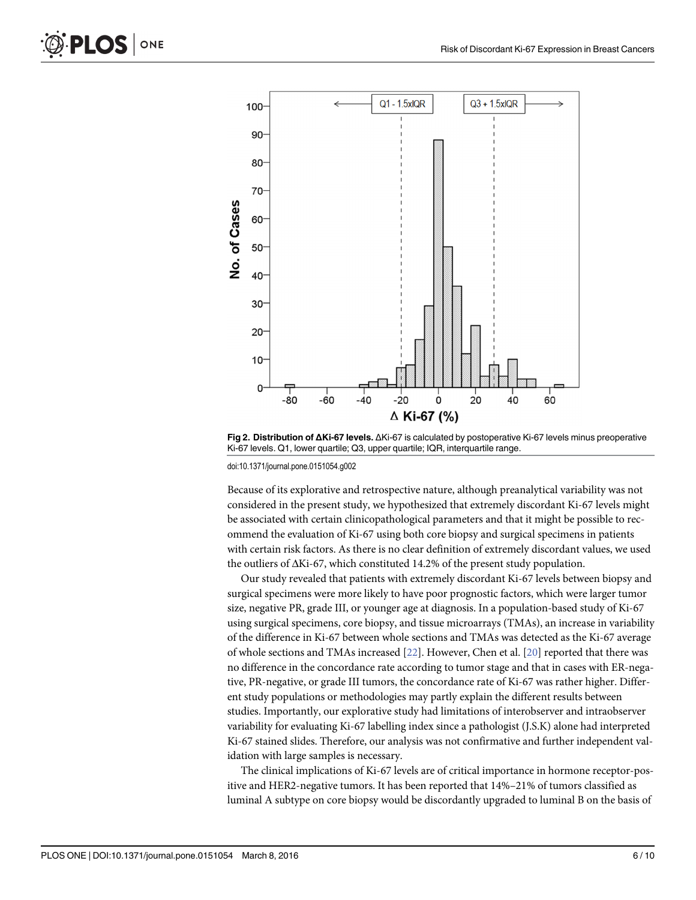<span id="page-5-0"></span>



[Fig 2. D](#page-3-0)istribution of ΔKi-67 levels. ΔKi-67 is calculated by postoperative Ki-67 levels minus preoperative Ki-67 levels. Q1, lower quartile; Q3, upper quartile; IQR, interquartile range.

doi:10.1371/journal.pone.0151054.g002

Because of its explorative and retrospective nature, although preanalytical variability was not considered in the present study, we hypothesized that extremely discordant Ki-67 levels might be associated with certain clinicopathological parameters and that it might be possible to recommend the evaluation of Ki-67 using both core biopsy and surgical specimens in patients with certain risk factors. As there is no clear definition of extremely discordant values, we used the outliers of ΔKi-67, which constituted 14.2% of the present study population.

Our study revealed that patients with extremely discordant Ki-67 levels between biopsy and surgical specimens were more likely to have poor prognostic factors, which were larger tumor size, negative PR, grade III, or younger age at diagnosis. In a population-based study of Ki-67 using surgical specimens, core biopsy, and tissue microarrays (TMAs), an increase in variability of the difference in Ki-67 between whole sections and TMAs was detected as the Ki-67 average of whole sections and TMAs increased [[22\]](#page-9-0). However, Chen et al. [[20](#page-9-0)] reported that there was no difference in the concordance rate according to tumor stage and that in cases with ER-negative, PR-negative, or grade III tumors, the concordance rate of Ki-67 was rather higher. Different study populations or methodologies may partly explain the different results between studies. Importantly, our explorative study had limitations of interobserver and intraobserver variability for evaluating Ki-67 labelling index since a pathologist (J.S.K) alone had interpreted Ki-67 stained slides. Therefore, our analysis was not confirmative and further independent validation with large samples is necessary.

The clinical implications of Ki-67 levels are of critical importance in hormone receptor-positive and HER2-negative tumors. It has been reported that 14%–21% of tumors classified as luminal A subtype on core biopsy would be discordantly upgraded to luminal B on the basis of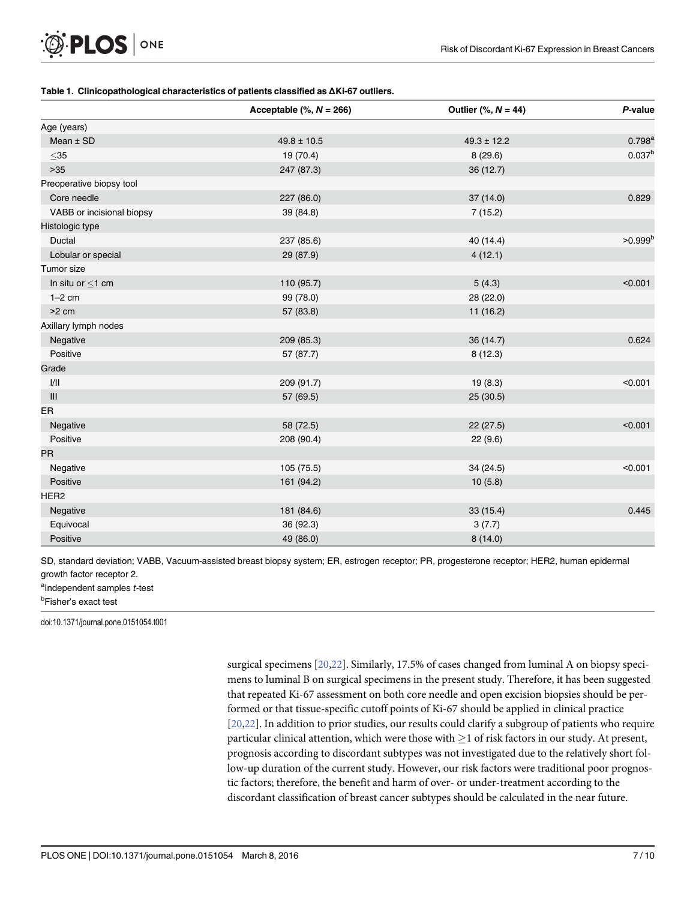#### <span id="page-6-0"></span>[Table 1.](#page-3-0) Clinicopathological characteristics of patients classified as ΔKi-67 outliers.

|                                    | Acceptable $(\%, N = 266)$ | Outlier (%, $N = 44$ ) | P-value             |
|------------------------------------|----------------------------|------------------------|---------------------|
| Age (years)                        |                            |                        |                     |
| Mean $±$ SD                        | $49.8 \pm 10.5$            | $49.3 \pm 12.2$        | $0.798^{a}$         |
| $\leq$ 35                          | 19 (70.4)                  | 8(29.6)                | $0.037^{b}$         |
| $>35$                              | 247 (87.3)                 | 36(12.7)               |                     |
| Preoperative biopsy tool           |                            |                        |                     |
| Core needle                        | 227 (86.0)                 | 37 (14.0)              | 0.829               |
| VABB or incisional biopsy          | 39 (84.8)                  | 7(15.2)                |                     |
| Histologic type                    |                            |                        |                     |
| Ductal                             | 237 (85.6)                 | 40 (14.4)              | >0.999 <sup>b</sup> |
| Lobular or special                 | 29 (87.9)                  | 4(12.1)                |                     |
| Tumor size                         |                            |                        |                     |
| In situ or $\leq$ 1 cm             | 110 (95.7)                 | 5(4.3)                 | < 0.001             |
| $1-2$ cm                           | 99 (78.0)                  | 28 (22.0)              |                     |
| $>2$ cm                            | 57 (83.8)                  | 11(16.2)               |                     |
| Axillary lymph nodes               |                            |                        |                     |
| Negative                           | 209 (85.3)                 | 36 (14.7)              | 0.624               |
| Positive                           | 57 (87.7)                  | 8(12.3)                |                     |
| Grade                              |                            |                        |                     |
| 1/11                               | 209 (91.7)                 | 19(8.3)                | < 0.001             |
| $\ensuremath{\mathsf{III}}\xspace$ | 57 (69.5)                  | 25(30.5)               |                     |
| ER                                 |                            |                        |                     |
| Negative                           | 58 (72.5)                  | 22(27.5)               | < 0.001             |
| Positive                           | 208 (90.4)                 | 22(9.6)                |                     |
| <b>PR</b>                          |                            |                        |                     |
| Negative                           | 105 (75.5)                 | 34 (24.5)              | < 0.001             |
| Positive                           | 161 (94.2)                 | 10(5.8)                |                     |
| HER <sub>2</sub>                   |                            |                        |                     |
| Negative                           | 181 (84.6)                 | 33(15.4)               | 0.445               |
| Equivocal                          | 36 (92.3)                  | 3(7.7)                 |                     |
| Positive                           | 49 (86.0)                  | 8(14.0)                |                     |

SD, standard deviation; VABB, Vacuum-assisted breast biopsy system; ER, estrogen receptor; PR, progesterone receptor; HER2, human epidermal growth factor receptor 2.

<sup>a</sup>Independent samples *t*-test

<sup>b</sup>Fisher's exact test

doi:10.1371/journal.pone.0151054.t001

surgical specimens [[20](#page-9-0),[22](#page-9-0)]. Similarly, 17.5% of cases changed from luminal A on biopsy specimens to luminal B on surgical specimens in the present study. Therefore, it has been suggested that repeated Ki-67 assessment on both core needle and open excision biopsies should be performed or that tissue-specific cutoff points of Ki-67 should be applied in clinical practice [\[20,22\]](#page-9-0). In addition to prior studies, our results could clarify a subgroup of patients who require particular clinical attention, which were those with  $>1$  of risk factors in our study. At present, prognosis according to discordant subtypes was not investigated due to the relatively short follow-up duration of the current study. However, our risk factors were traditional poor prognostic factors; therefore, the benefit and harm of over- or under-treatment according to the discordant classification of breast cancer subtypes should be calculated in the near future.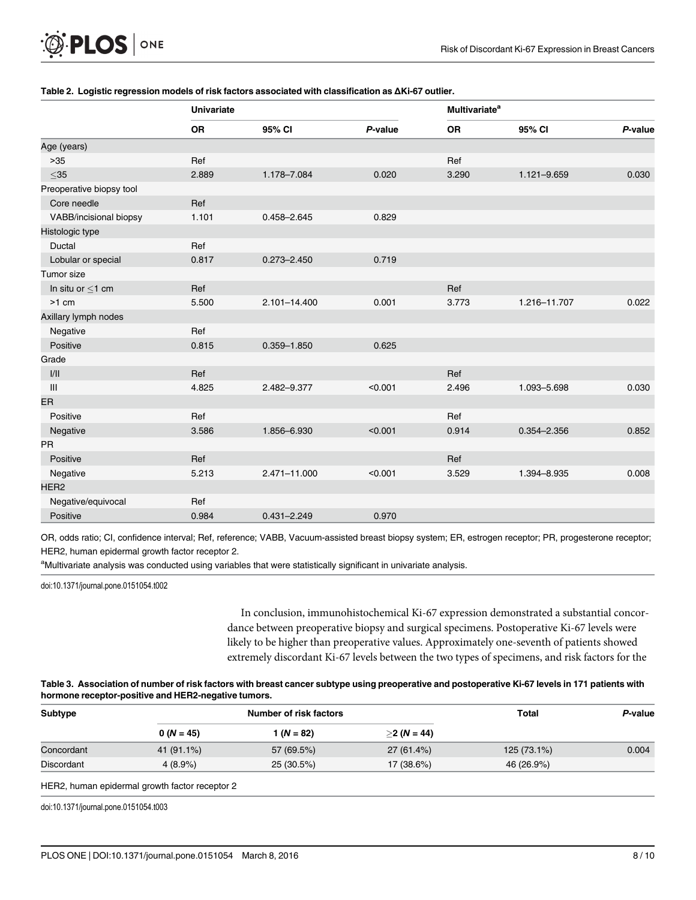|                                    | <b>Univariate</b> |                 |         | <b>Multivariate<sup>a</sup></b> |              |         |
|------------------------------------|-------------------|-----------------|---------|---------------------------------|--------------|---------|
|                                    | <b>OR</b>         | 95% CI          | P-value | <b>OR</b>                       | 95% CI       | P-value |
| Age (years)                        |                   |                 |         |                                 |              |         |
| $>35$                              | Ref               |                 |         | Ref                             |              |         |
| $\leq$ 35                          | 2.889             | 1.178-7.084     | 0.020   | 3.290                           | 1.121-9.659  | 0.030   |
| Preoperative biopsy tool           |                   |                 |         |                                 |              |         |
| Core needle                        | Ref               |                 |         |                                 |              |         |
| VABB/incisional biopsy             | 1.101             | 0.458-2.645     | 0.829   |                                 |              |         |
| Histologic type                    |                   |                 |         |                                 |              |         |
| Ductal                             | Ref               |                 |         |                                 |              |         |
| Lobular or special                 | 0.817             | $0.273 - 2.450$ | 0.719   |                                 |              |         |
| Tumor size                         |                   |                 |         |                                 |              |         |
| In situ or $\leq$ 1 cm             | Ref               |                 |         | Ref                             |              |         |
| $>1$ cm                            | 5.500             | 2.101-14.400    | 0.001   | 3.773                           | 1.216-11.707 | 0.022   |
| Axillary lymph nodes               |                   |                 |         |                                 |              |         |
| Negative                           | Ref               |                 |         |                                 |              |         |
| Positive                           | 0.815             | $0.359 - 1.850$ | 0.625   |                                 |              |         |
| Grade                              |                   |                 |         |                                 |              |         |
| 1/11                               | Ref               |                 |         | Ref                             |              |         |
| $\ensuremath{\mathsf{III}}\xspace$ | 4.825             | 2.482-9.377     | < 0.001 | 2.496                           | 1.093-5.698  | 0.030   |
| ER                                 |                   |                 |         |                                 |              |         |
| Positive                           | Ref               |                 |         | Ref                             |              |         |
| Negative                           | 3.586             | 1.856-6.930     | < 0.001 | 0.914                           | 0.354-2.356  | 0.852   |
| <b>PR</b>                          |                   |                 |         |                                 |              |         |
| Positive                           | Ref               |                 |         | Ref                             |              |         |
| Negative                           | 5.213             | 2.471-11.000    | < 0.001 | 3.529                           | 1.394-8.935  | 0.008   |
| HER <sub>2</sub>                   |                   |                 |         |                                 |              |         |
| Negative/equivocal                 | Ref               |                 |         |                                 |              |         |
| Positive                           | 0.984             | $0.431 - 2.249$ | 0.970   |                                 |              |         |

#### <span id="page-7-0"></span>[Table 2.](#page-3-0) Logistic regression models of risk factors associated with classification as ΔKi-67 outlier.

OR, odds ratio; CI, confidence interval; Ref, reference; VABB, Vacuum-assisted breast biopsy system; ER, estrogen receptor; PR, progesterone receptor; HER2, human epidermal growth factor receptor 2.

aMultivariate analysis was conducted using variables that were statistically significant in univariate analysis.

doi:10.1371/journal.pone.0151054.t002

In conclusion, immunohistochemical Ki-67 expression demonstrated a substantial concordance between preoperative biopsy and surgical specimens. Postoperative Ki-67 levels were likely to be higher than preoperative values. Approximately one-seventh of patients showed extremely discordant Ki-67 levels between the two types of specimens, and risk factors for the

| Table 3. Association of number of risk factors with breast cancer subtype using preoperative and postoperative Ki-67 levels in 171 patients with |
|--------------------------------------------------------------------------------------------------------------------------------------------------|
| hormone receptor-positive and HER2-negative tumors.                                                                                              |

| Subtype    | Number of risk factors |              |               | <b>Total</b> | P-value |
|------------|------------------------|--------------|---------------|--------------|---------|
|            | $0 (N = 45)$           | $1 (N = 82)$ | $>2 (N = 44)$ |              |         |
| Concordant | 41 (91.1%)             | 57 (69.5%)   | 27 (61.4%)    | 125(73.1%)   | 0.004   |
| Discordant | $4(8.9\%)$             | 25 (30.5%)   | 17 (38.6%)    | 46 (26.9%)   |         |

HER2, human epidermal growth factor receptor 2

doi:10.1371/journal.pone.0151054.t003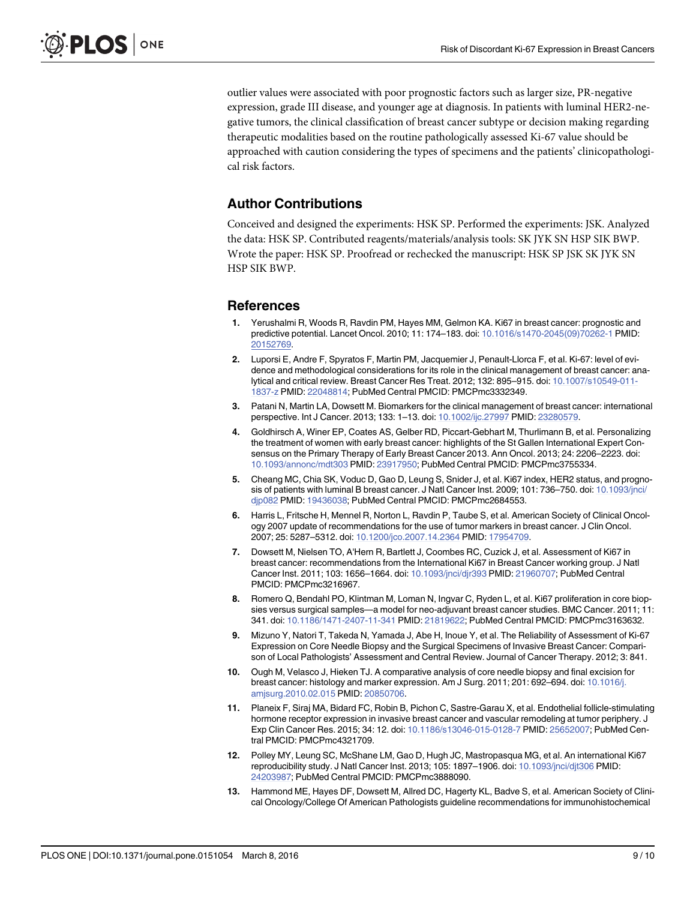<span id="page-8-0"></span>outlier values were associated with poor prognostic factors such as larger size, PR-negative expression, grade III disease, and younger age at diagnosis. In patients with luminal HER2-negative tumors, the clinical classification of breast cancer subtype or decision making regarding therapeutic modalities based on the routine pathologically assessed Ki-67 value should be approached with caution considering the types of specimens and the patients' clinicopathological risk factors.

#### Author Contributions

Conceived and designed the experiments: HSK SP. Performed the experiments: JSK. Analyzed the data: HSK SP. Contributed reagents/materials/analysis tools: SK JYK SN HSP SIK BWP. Wrote the paper: HSK SP. Proofread or rechecked the manuscript: HSK SP JSK SK JYK SN HSP SIK BWP.

#### References

- [1.](#page-1-0) Yerushalmi R, Woods R, Ravdin PM, Hayes MM, Gelmon KA. Ki67 in breast cancer: prognostic and predictive potential. Lancet Oncol. 2010; 11: 174–183. doi: [10.1016/s1470-2045\(09\)70262-1](http://dx.doi.org/10.1016/s1470-2045(09)70262-1) PMID: [20152769](http://www.ncbi.nlm.nih.gov/pubmed/20152769).
- [2.](#page-1-0) Luporsi E, Andre F, Spyratos F, Martin PM, Jacquemier J, Penault-Llorca F, et al. Ki-67: level of evidence and methodological considerations for its role in the clinical management of breast cancer: analytical and critical review. Breast Cancer Res Treat. 2012; 132: 895–915. doi: [10.1007/s10549-011-](http://dx.doi.org/10.1007/s10549-011-1837-z) [1837-z](http://dx.doi.org/10.1007/s10549-011-1837-z) PMID: [22048814;](http://www.ncbi.nlm.nih.gov/pubmed/22048814) PubMed Central PMCID: PMCPmc3332349.
- [3.](#page-1-0) Patani N, Martin LA, Dowsett M. Biomarkers for the clinical management of breast cancer: international perspective. Int J Cancer. 2013; 133: 1–13. doi: [10.1002/ijc.27997](http://dx.doi.org/10.1002/ijc.27997) PMID: [23280579.](http://www.ncbi.nlm.nih.gov/pubmed/23280579)
- [4.](#page-1-0) Goldhirsch A, Winer EP, Coates AS, Gelber RD, Piccart-Gebhart M, Thurlimann B, et al. Personalizing the treatment of women with early breast cancer: highlights of the St Gallen International Expert Consensus on the Primary Therapy of Early Breast Cancer 2013. Ann Oncol. 2013; 24: 2206–2223. doi: [10.1093/annonc/mdt303](http://dx.doi.org/10.1093/annonc/mdt303) PMID: [23917950;](http://www.ncbi.nlm.nih.gov/pubmed/23917950) PubMed Central PMCID: PMCPmc3755334.
- [5.](#page-1-0) Cheang MC, Chia SK, Voduc D, Gao D, Leung S, Snider J, et al. Ki67 index, HER2 status, and prognosis of patients with luminal B breast cancer. J Natl Cancer Inst. 2009; 101: 736–750. doi: [10.1093/jnci/](http://dx.doi.org/10.1093/jnci/djp082) [djp082](http://dx.doi.org/10.1093/jnci/djp082) PMID: [19436038](http://www.ncbi.nlm.nih.gov/pubmed/19436038); PubMed Central PMCID: PMCPmc2684553.
- [6.](#page-1-0) Harris L, Fritsche H, Mennel R, Norton L, Ravdin P, Taube S, et al. American Society of Clinical Oncology 2007 update of recommendations for the use of tumor markers in breast cancer. J Clin Oncol. 2007; 25: 5287–5312. doi: [10.1200/jco.2007.14.2364](http://dx.doi.org/10.1200/jco.2007.14.2364) PMID: [17954709](http://www.ncbi.nlm.nih.gov/pubmed/17954709).
- [7.](#page-1-0) Dowsett M, Nielsen TO, A'Hern R, Bartlett J, Coombes RC, Cuzick J, et al. Assessment of Ki67 in breast cancer: recommendations from the International Ki67 in Breast Cancer working group. J Natl Cancer Inst. 2011; 103: 1656–1664. doi: [10.1093/jnci/djr393](http://dx.doi.org/10.1093/jnci/djr393) PMID: [21960707;](http://www.ncbi.nlm.nih.gov/pubmed/21960707) PubMed Central PMCID: PMCPmc3216967.
- [8.](#page-1-0) Romero Q, Bendahl PO, Klintman M, Loman N, Ingvar C, Ryden L, et al. Ki67 proliferation in core biopsies versus surgical samples—a model for neo-adjuvant breast cancer studies. BMC Cancer. 2011; 11: 341. doi: [10.1186/1471-2407-11-341](http://dx.doi.org/10.1186/1471-2407-11-341) PMID: [21819622;](http://www.ncbi.nlm.nih.gov/pubmed/21819622) PubMed Central PMCID: PMCPmc3163632.
- [9.](#page-4-0) Mizuno Y, Natori T, Takeda N, Yamada J, Abe H, Inoue Y, et al. The Reliability of Assessment of Ki-67 Expression on Core Needle Biopsy and the Surgical Specimens of Invasive Breast Cancer: Comparison of Local Pathologists' Assessment and Central Review. Journal of Cancer Therapy. 2012; 3: 841.
- [10.](#page-1-0) Ough M, Velasco J, Hieken TJ. A comparative analysis of core needle biopsy and final excision for breast cancer: histology and marker expression. Am J Surg. 2011; 201: 692–694. doi: [10.1016/j.](http://dx.doi.org/10.1016/j.amjsurg.2010.02.015) [amjsurg.2010.02.015](http://dx.doi.org/10.1016/j.amjsurg.2010.02.015) PMID: [20850706.](http://www.ncbi.nlm.nih.gov/pubmed/20850706)
- [11.](#page-1-0) Planeix F, Siraj MA, Bidard FC, Robin B, Pichon C, Sastre-Garau X, et al. Endothelial follicle-stimulating hormone receptor expression in invasive breast cancer and vascular remodeling at tumor periphery. J Exp Clin Cancer Res. 2015; 34: 12. doi: [10.1186/s13046-015-0128-7](http://dx.doi.org/10.1186/s13046-015-0128-7) PMID: [25652007;](http://www.ncbi.nlm.nih.gov/pubmed/25652007) PubMed Central PMCID: PMCPmc4321709.
- [12.](#page-1-0) Polley MY, Leung SC, McShane LM, Gao D, Hugh JC, Mastropasqua MG, et al. An international Ki67 reproducibility study. J Natl Cancer Inst. 2013; 105: 1897–1906. doi: [10.1093/jnci/djt306](http://dx.doi.org/10.1093/jnci/djt306) PMID: [24203987](http://www.ncbi.nlm.nih.gov/pubmed/24203987); PubMed Central PMCID: PMCPmc3888090.
- [13.](#page-2-0) Hammond ME, Hayes DF, Dowsett M, Allred DC, Hagerty KL, Badve S, et al. American Society of Clinical Oncology/College Of American Pathologists guideline recommendations for immunohistochemical